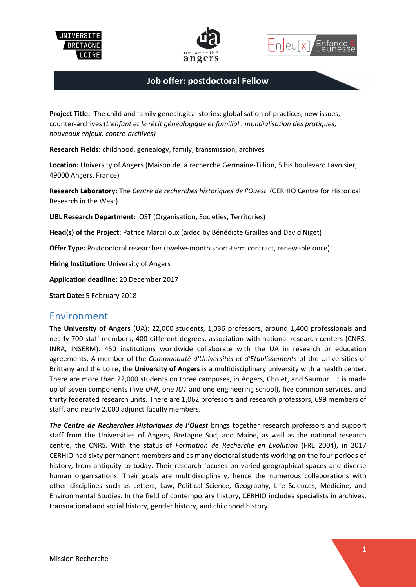





#### **Job offer: postdoctoral Fellow**

**Project Title:** The child and family genealogical stories: globalisation of practices, new issues, counter-archives (*L'enfant et le récit généalogique et familial : mondialisation des pratiques, nouveaux enjeux, contre-archives)*

**Research Fields:** childhood, genealogy, family, transmission, archives

**Location:** University of Angers (Maison de la recherche Germaine-Tillion, 5 bis boulevard Lavoisier, 49000 Angers, France)

**Research Laboratory:** The *Centre de recherches historiques de l'Ouest* (CERHIO Centre for Historical Research in the West)

**UBL Research Department:** OST (Organisation, Societies, Territories)

**Head(s) of the Project:** Patrice Marcilloux (aided by Bénédicte Grailles and David Niget)

**Offer Type:** Postdoctoral researcher (twelve-month short-term contract, renewable once)

**Hiring Institution:** University of Angers

**Application deadline:** 20 December 2017

**Start Date:** 5 February 2018

#### Environment

**The University of Angers** (UA): 22,000 students, 1,036 professors, around 1,400 professionals and nearly 700 staff members, 400 different degrees, association with national research centers (CNRS, INRA, INSERM). 450 institutions worldwide collaborate with the UA in research or education agreements. A member of the *Communauté d'Universités et d'Etablissements* of the Universities of Brittany and the Loire, the **University of Angers** is a multidisciplinary university with a health center. There are more than 22,000 students on three campuses, in Angers, Cholet, and Saumur. It is made up of seven components (five *UFR*, one *IUT* and one engineering school), five common services, and thirty federated research units. There are 1,062 professors and research professors, 699 members of staff, and nearly 2,000 adjunct faculty members.

*The Centre de Recherches Historiques de l'Ouest* brings together research professors and support staff from the Universities of Angers, Bretagne Sud, and Maine, as well as the national research centre, the CNRS. With the status of *Formation de Recherche en Evolution* (FRE 2004), in 2017 CERHIO had sixty permanent members and as many doctoral students working on the four periods of history, from antiquity to today. Their research focuses on varied geographical spaces and diverse human organisations. Their goals are multidisciplinary, hence the numerous collaborations with other disciplines such as Letters, Law, Political Science, Geography, Life Sciences, Medicine, and Environmental Studies. In the field of contemporary history, CERHIO includes specialists in archives, transnational and social history, gender history, and childhood history.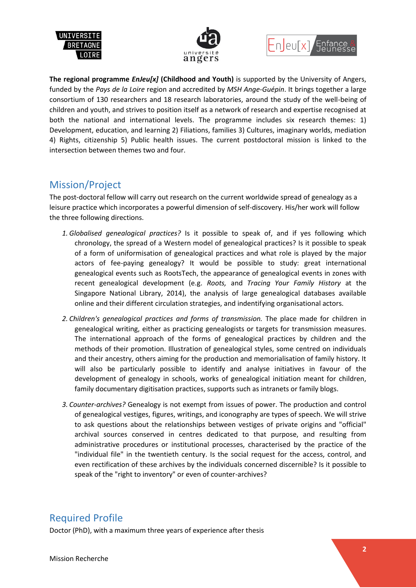





**The regional programme** *EnJeu[x]* **(Childhood and Youth)** is supported by the University of Angers, funded by the *Pays de la Loire* region and accredited by *MSH Ange-Guépin*. It brings together a large consortium of 130 researchers and 18 research laboratories, around the study of the well-being of children and youth, and strives to position itself as a network of research and expertise recognised at both the national and international levels. The programme includes six research themes: 1) Development, education, and learning 2) Filiations, families 3) Cultures, imaginary worlds, mediation 4) Rights, citizenship 5) Public health issues. The current postdoctoral mission is linked to the intersection between themes two and four.

## Mission/Project

The post-doctoral fellow will carry out research on the current worldwide spread of genealogy as a leisure practice which incorporates a powerful dimension of self-discovery. His/her work will follow the three following directions.

- *1. Globalised genealogical practices?* Is it possible to speak of, and if yes following which chronology, the spread of a Western model of genealogical practices? Is it possible to speak of a form of uniformisation of genealogical practices and what role is played by the major actors of fee-paying genealogy? It would be possible to study: great international genealogical events such as RootsTech, the appearance of genealogical events in zones with recent genealogical development (e.g. *Roots,* and *Tracing Your Family History* at the Singapore National Library, 2014), the analysis of large genealogical databases available online and their different circulation strategies, and indentifying organisational actors.
- *2. Children's genealogical practices and forms of transmission.* The place made for children in genealogical writing, either as practicing genealogists or targets for transmission measures. The international approach of the forms of genealogical practices by children and the methods of their promotion. Illustration of genealogical styles, some centred on individuals and their ancestry, others aiming for the production and memorialisation of family history. It will also be particularly possible to identify and analyse initiatives in favour of the development of genealogy in schools, works of genealogical initiation meant for children, family documentary digitisation practices, supports such as intranets or family blogs.
- *3. Counter-archives?* Genealogy is not exempt from issues of power. The production and control of genealogical vestiges, figures, writings, and iconography are types of speech. We will strive to ask questions about the relationships between vestiges of private origins and "official" archival sources conserved in centres dedicated to that purpose, and resulting from administrative procedures or institutional processes, characterised by the practice of the "individual file" in the twentieth century. Is the social request for the access, control, and even rectification of these archives by the individuals concerned discernible? Is it possible to speak of the "right to inventory" or even of counter-archives?

# Required Profile

Doctor (PhD), with a maximum three years of experience after thesis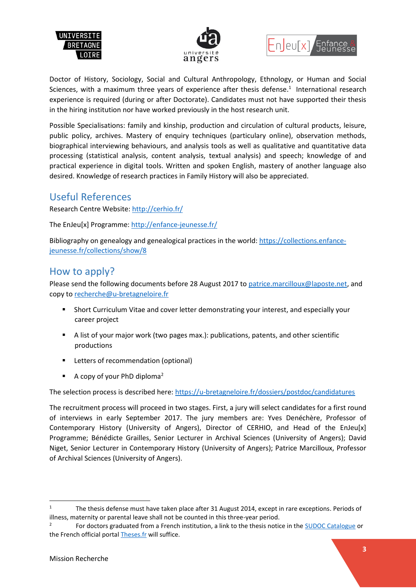





Doctor of History, Sociology, Social and Cultural Anthropology, Ethnology, or Human and Social Sciences, with a maximum three years of experience after thesis defense.<sup>1</sup> International research experience is required (during or after Doctorate). Candidates must not have supported their thesis in the hiring institution nor have worked previously in the host research unit.

Possible Specialisations: family and kinship, production and circulation of cultural products, leisure, public policy, archives. Mastery of enquiry techniques (particulary online), observation methods, biographical interviewing behaviours, and analysis tools as well as qualitative and quantitative data processing (statistical analysis, content analysis, textual analysis) and speech; knowledge of and practical experience in digital tools. Written and spoken English, mastery of another language also desired. Knowledge of research practices in Family History will also be appreciated.

### Useful References

Research Centre Website:<http://cerhio.fr/>

The EnJeu[x] Programme:<http://enfance-jeunesse.fr/>

Bibliography on genealogy and genealogical practices in the world: [https://collections.enfance](https://collections.enfance-jeunesse.fr/collections/show/8)[jeunesse.fr/collections/show/8](https://collections.enfance-jeunesse.fr/collections/show/8)

## How to apply?

Please send the following documents before 28 August 2017 to [patrice.marcilloux@laposte.net,](mailto:patrice.marcilloux@laposte.net) and copy t[o recherche@u-bretagneloire.fr](mailto:recherche@u-bretagneloire.fr)

- Short Curriculum Vitae and cover letter demonstrating your interest, and especially your career project
- A list of your major work (two pages max.): publications, patents, and other scientific productions
- **E** Letters of recommendation (optional)
- $\blacksquare$  A copy of your PhD diploma<sup>2</sup>

The selection process is described here[: https://u-bretagneloire.fr/dossiers/postdoc/candidatures](https://u-bretagneloire.fr/dossiers/postdoc/candidatures)

The recruitment process will proceed in two stages. First, a jury will select candidates for a first round of interviews in early September 2017. The jury members are: Yves Denéchère, Professor of Contemporary History (University of Angers), Director of CERHIO, and Head of the EnJeu[x] Programme; Bénédicte Grailles, Senior Lecturer in Archival Sciences (University of Angers); David Niget, Senior Lecturer in Contemporary History (University of Angers); Patrice Marcilloux, Professor of Archival Sciences (University of Angers).

1

<sup>&</sup>lt;sup>1</sup> The thesis defense must have taken place after 31 August 2014, except in rare exceptions. Periods of illness, maternity or parental leave shall not be counted in this three-year period.

<sup>2</sup> For doctors graduated from a French institution, a link to the thesis notice in th[e SUDOC](http://www.sudoc.abes.fr/) Catalogue or the French official portal [Theses.fr](http://www.theses.fr/) will suffice.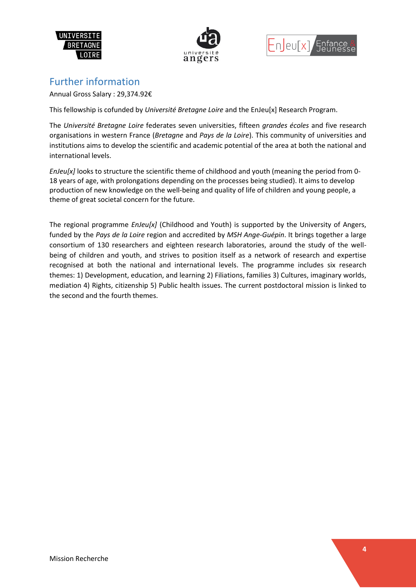





# Further information

Annual Gross Salary : 29,374.92€

This fellowship is cofunded by *Université Bretagne Loire* and the EnJeu[x] Research Program.

The *Université Bretagne Loire* federates seven universities, fifteen *grandes écoles* and five research organisations in western France (*Bretagne* and *Pays de la Loire*). This community of universities and institutions aims to develop the scientific and academic potential of the area at both the national and international levels.

*EnJeu[x]* looks to structure the scientific theme of childhood and youth (meaning the period from 0- 18 years of age, with prolongations depending on the processes being studied). It aims to develop production of new knowledge on the well-being and quality of life of children and young people, a theme of great societal concern for the future.

The regional programme *EnJeu[x]* (Childhood and Youth) is supported by the University of Angers, funded by the *Pays de la Loire* region and accredited by *MSH Ange-Guépin*. It brings together a large consortium of 130 researchers and eighteen research laboratories, around the study of the wellbeing of children and youth, and strives to position itself as a network of research and expertise recognised at both the national and international levels. The programme includes six research themes: 1) Development, education, and learning 2) Filiations, families 3) Cultures, imaginary worlds, mediation 4) Rights, citizenship 5) Public health issues. The current postdoctoral mission is linked to the second and the fourth themes.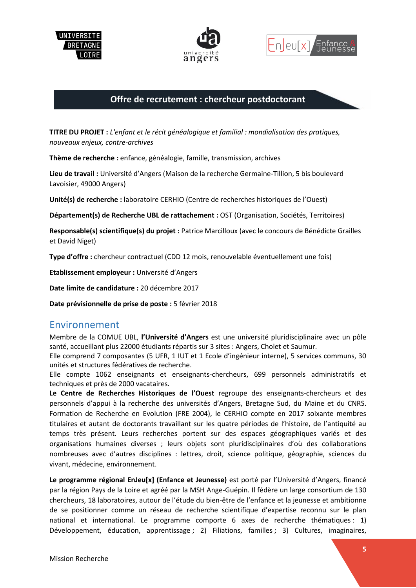





#### **Offre de recrutement : chercheur postdoctorant**

**TITRE DU PROJET :** *L'enfant et le récit généalogique et familial : mondialisation des pratiques, nouveaux enjeux, contre-archives*

**Thème de recherche :** enfance, généalogie, famille, transmission, archives

**Lieu de travail :** Université d'Angers (Maison de la recherche Germaine-Tillion, 5 bis boulevard Lavoisier, 49000 Angers)

**Unité(s) de recherche :** laboratoire CERHIO (Centre de recherches historiques de l'Ouest)

**Département(s) de Recherche UBL de rattachement :** OST (Organisation, Sociétés, Territoires)

**Responsable(s) scientifique(s) du projet :** Patrice Marcilloux (avec le concours de Bénédicte Grailles et David Niget)

**Type d'offre :** chercheur contractuel (CDD 12 mois, renouvelable éventuellement une fois)

**Etablissement employeur :** Université d'Angers

**Date limite de candidature :** 20 décembre 2017

**Date prévisionnelle de prise de poste :** 5 février 2018

### Environnement

Membre de la COMUE UBL, **l'Université d'Angers** est une université pluridisciplinaire avec un pôle santé, accueillant plus 22000 étudiants répartis sur 3 sites : Angers, Cholet et Saumur.

Elle comprend 7 composantes (5 UFR, 1 IUT et 1 Ecole d'ingénieur interne), 5 services communs, 30 unités et structures fédératives de recherche.

Elle compte 1062 enseignants et enseignants-chercheurs, 699 personnels administratifs et techniques et près de 2000 vacataires.

**Le Centre de Recherches Historiques de l'Ouest** regroupe des enseignants-chercheurs et des personnels d'appui à la recherche des universités d'Angers, Bretagne Sud, du Maine et du CNRS. Formation de Recherche en Evolution (FRE 2004), le CERHIO compte en 2017 soixante membres titulaires et autant de doctorants travaillant sur les quatre périodes de l'histoire, de l'antiquité au temps très présent. Leurs recherches portent sur des espaces géographiques variés et des organisations humaines diverses ; leurs objets sont pluridisciplinaires d'où des collaborations nombreuses avec d'autres disciplines : lettres, droit, science politique, géographie, sciences du vivant, médecine, environnement.

**Le programme régional EnJeu[x] (Enfance et Jeunesse)** est porté par l'Université d'Angers, financé par la région Pays de la Loire et agréé par la MSH Ange-Guépin. Il fédère un large consortium de 130 chercheurs, 18 laboratoires, autour de l'étude du bien-être de l'enfance et la jeunesse et ambitionne de se positionner comme un réseau de recherche scientifique d'expertise reconnu sur le plan national et international. Le programme comporte 6 axes de recherche thématiques : 1) Développement, éducation, apprentissage; 2) Filiations, familles; 3) Cultures, imaginaires,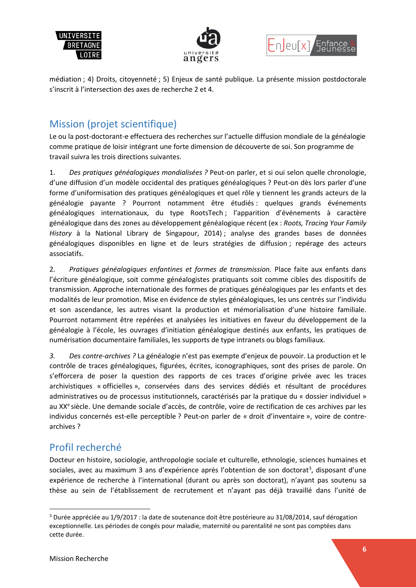





médiation ; 4) Droits, citoyenneté ; 5) Enjeux de santé publique. La présente mission postdoctorale s'inscrit à l'intersection des axes de recherche 2 et 4.

# Mission (projet scientifique)

Le ou la post-doctorant-e effectuera des recherches sur l'actuelle diffusion mondiale de la généalogie comme pratique de loisir intégrant une forte dimension de découverte de soi. Son programme de travail suivra les trois directions suivantes.

1. *Des pratiques généalogiques mondialisées ?* Peut-on parler, et si oui selon quelle chronologie, d'une diffusion d'un modèle occidental des pratiques généalogiques ? Peut-on dès lors parler d'une forme d'uniformisation des pratiques généalogiques et quel rôle y tiennent les grands acteurs de la généalogie payante ? Pourront notamment être étudiés : quelques grands événements généalogiques internationaux, du type RootsTech ; l'apparition d'événements à caractère généalogique dans des zones au développement généalogique récent (ex : *Roots, Tracing Your Family History* à la National Library de Singapour, 2014) ; analyse des grandes bases de données généalogiques disponibles en ligne et de leurs stratégies de diffusion ; repérage des acteurs associatifs.

2. *Pratiques généalogiques enfantines et formes de transmission.* Place faite aux enfants dans l'écriture généalogique, soit comme généalogistes pratiquants soit comme cibles des dispositifs de transmission. Approche internationale des formes de pratiques généalogiques par les enfants et des modalités de leur promotion. Mise en évidence de styles généalogiques, les uns centrés sur l'individu et son ascendance, les autres visant la production et mémorialisation d'une histoire familiale. Pourront notamment être repérées et analysées les initiatives en faveur du développement de la généalogie à l'école, les ouvrages d'initiation généalogique destinés aux enfants, les pratiques de numérisation documentaire familiales, les supports de type intranets ou blogs familiaux.

*3. Des contre-archives ?* La généalogie n'est pas exempte d'enjeux de pouvoir. La production et le contrôle de traces généalogiques, figurées, écrites, iconographiques, sont des prises de parole. On s'efforcera de poser la question des rapports de ces traces d'origine privée avec les traces archivistiques « officielles », conservées dans des services dédiés et résultant de procédures administratives ou de processus institutionnels, caractérisés par la pratique du « dossier individuel » au XX<sup>e</sup> siècle. Une demande sociale d'accès, de contrôle, voire de rectification de ces archives par les individus concernés est-elle perceptible ? Peut-on parler de « droit d'inventaire », voire de contrearchives ?

# Profil recherché

Docteur en histoire, sociologie, anthropologie sociale et culturelle, ethnologie, sciences humaines et sociales, avec au maximum 3 ans d'expérience après l'obtention de son doctorat<sup>3</sup>, disposant d'une expérience de recherche à l'international (durant ou après son doctorat), n'ayant pas soutenu sa thèse au sein de l'établissement de recrutement et n'ayant pas déjà travaillé dans l'unité de

**.** 

<sup>3</sup> Durée appréciée au 1/9/2017 : la date de soutenance doit être postérieure au 31/08/2014, sauf dérogation exceptionnelle. Les périodes de congés pour maladie, maternité ou parentalité ne sont pas comptées dans cette durée.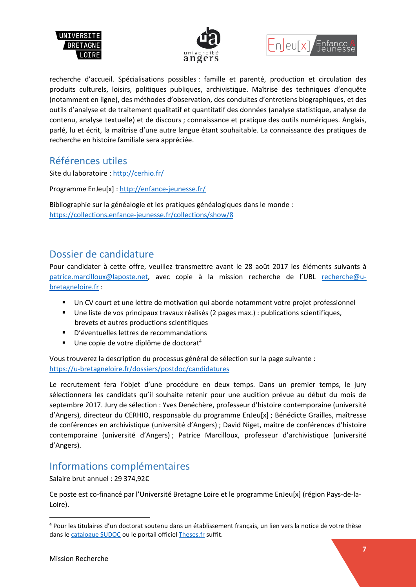





recherche d'accueil. Spécialisations possibles : famille et parenté, production et circulation des produits culturels, loisirs, politiques publiques, archivistique. Maîtrise des techniques d'enquête (notamment en ligne), des méthodes d'observation, des conduites d'entretiens biographiques, et des outils d'analyse et de traitement qualitatif et quantitatif des données (analyse statistique, analyse de contenu, analyse textuelle) et de discours ; connaissance et pratique des outils numériques. Anglais, parlé, lu et écrit, la maîtrise d'une autre langue étant souhaitable. La connaissance des pratiques de recherche en histoire familiale sera appréciée.

### Références utiles

Site du laboratoire :<http://cerhio.fr/>

Programme EnJeu[x] :<http://enfance-jeunesse.fr/>

Bibliographie sur la généalogie et les pratiques généalogiques dans le monde : <https://collections.enfance-jeunesse.fr/collections/show/8>

## Dossier de candidature

Pour candidater à cette offre, veuillez transmettre avant le 28 août 2017 les éléments suivants à [patrice.marcilloux@laposte.net,](mailto:patrice.marcilloux@laposte.net) avec copie à la mission recherche de l'UBL [recherche@u](mailto:recherche@u-bretagneloire.fr)[bretagneloire.fr](mailto:recherche@u-bretagneloire.fr) :

- Un CV court et une lettre de motivation qui aborde notamment votre projet professionnel
- Une liste de vos principaux travaux réalisés (2 pages max.) : publications scientifiques, brevets et autres productions scientifiques
- D'éventuelles lettres de recommandations
- $\blacksquare$  Une copie de votre diplôme de doctorat<sup>4</sup>

Vous trouverez la description du processus général de sélection sur la page suivante : <https://u-bretagneloire.fr/dossiers/postdoc/candidatures>

Le recrutement fera l'objet d'une procédure en deux temps. Dans un premier temps, le jury sélectionnera les candidats qu'il souhaite retenir pour une audition prévue au début du mois de septembre 2017. Jury de sélection : Yves Denéchère, professeur d'histoire contemporaine (université d'Angers), directeur du CERHIO, responsable du programme EnJeu[x] ; Bénédicte Grailles, maîtresse de conférences en archivistique (université d'Angers) ; David Niget, maître de conférences d'histoire contemporaine (université d'Angers) ; Patrice Marcilloux, professeur d'archivistique (université d'Angers).

## Informations complémentaires

Salaire brut annuel : 29 374,92€

Ce poste est co-financé par l'Université Bretagne Loire et le programme EnJeu[x] (région Pays-de-la-Loire).

1

<sup>4</sup> Pour les titulaires d'un doctorat soutenu dans un établissement français, un lien vers la notice de votre thèse dans le [catalogue SUDOC](http://www.sudoc.abes.fr/) ou le portail officiel [Theses.fr](http://www.theses.fr/) suffit.